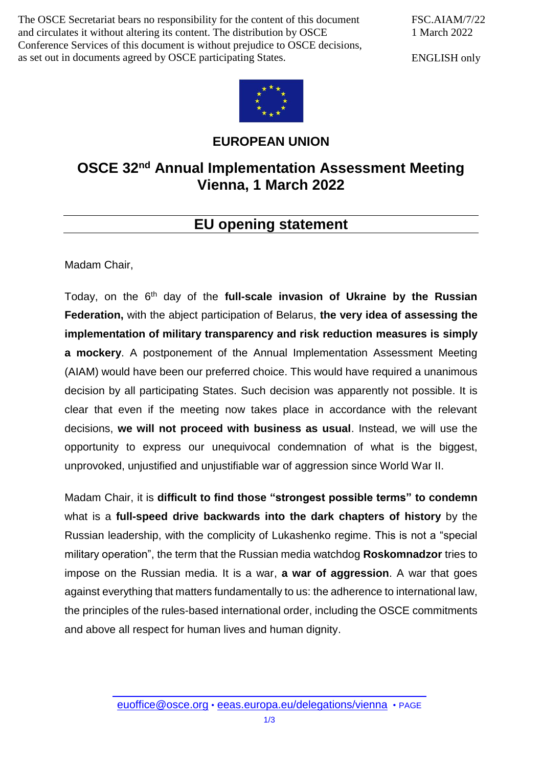The OSCE Secretariat bears no responsibility for the content of this document and circulates it without altering its content. The distribution by OSCE Conference Services of this document is without prejudice to OSCE decisions, as set out in documents agreed by OSCE participating States.

FSC.AIAM/7/22 1 March 2022

ENGLISH only



## **EUROPEAN UNION**

## **OSCE 32nd Annual Implementation Assessment Meeting Vienna, 1 March 2022**

## **EU opening statement**

Madam Chair,

Today, on the 6<sup>th</sup> day of the full-scale invasion of Ukraine by the Russian **Federation,** with the abject participation of Belarus, **the very idea of assessing the implementation of military transparency and risk reduction measures is simply a mockery**. A postponement of the Annual Implementation Assessment Meeting (AIAM) would have been our preferred choice. This would have required a unanimous decision by all participating States. Such decision was apparently not possible. It is clear that even if the meeting now takes place in accordance with the relevant decisions, **we will not proceed with business as usual**. Instead, we will use the opportunity to express our unequivocal condemnation of what is the biggest, unprovoked, unjustified and unjustifiable war of aggression since World War II.

Madam Chair, it is **difficult to find those "strongest possible terms" to condemn** what is a **full-speed drive backwards into the dark chapters of history** by the Russian leadership, with the complicity of Lukashenko regime. This is not a "special military operation", the term that the Russian media watchdog **Roskomnadzor** tries to impose on the Russian media. It is a war, **a war of aggression**. A war that goes against everything that matters fundamentally to us: the adherence to international law, the principles of the rules-based international order, including the OSCE commitments and above all respect for human lives and human dignity.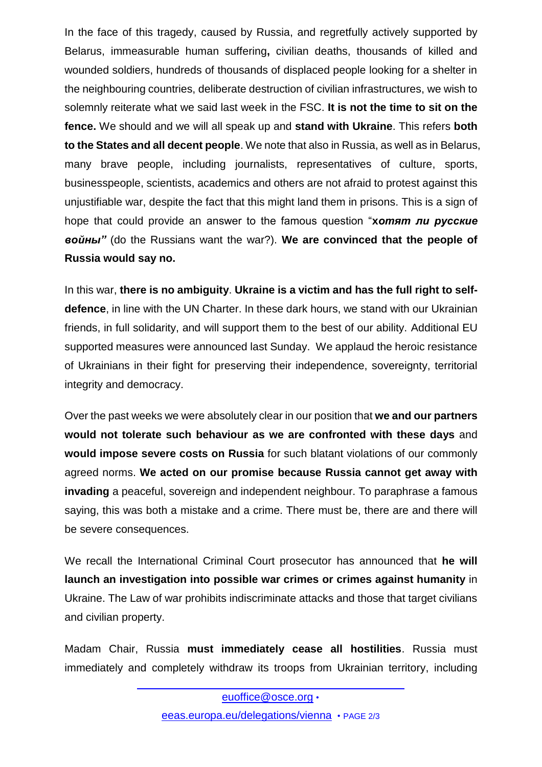In the face of this tragedy, caused by Russia, and regretfully actively supported by Belarus, immeasurable human suffering**,** civilian deaths, thousands of killed and wounded soldiers, hundreds of thousands of displaced people looking for a shelter in the neighbouring countries, deliberate destruction of civilian infrastructures, we wish to solemnly reiterate what we said last week in the FSC. **It is not the time to sit on the fence.** We should and we will all speak up and **stand with Ukraine**. This refers **both to the States and all decent people**. We note that also in Russia, as well as in Belarus, many brave people, including journalists, representatives of culture, sports, businesspeople, scientists, academics and others are not afraid to protest against this unjustifiable war, despite the fact that this might land them in prisons. This is a sign of hope that could provide an answer to the famous question "**x***отят ли русские войны"* (do the Russians want the war?). **We are convinced that the people of Russia would say no.** 

In this war, **there is no ambiguity**. **Ukraine is a victim and has the full right to selfdefence**, in line with the UN Charter. In these dark hours, we stand with our Ukrainian friends, in full solidarity, and will support them to the best of our ability. Additional EU supported measures were announced last Sunday. We applaud the heroic resistance of Ukrainians in their fight for preserving their independence, sovereignty, territorial integrity and democracy.

Over the past weeks we were absolutely clear in our position that **we and our partners would not tolerate such behaviour as we are confronted with these days** and **would impose severe costs on Russia** for such blatant violations of our commonly agreed norms. **We acted on our promise because Russia cannot get away with invading** a peaceful, sovereign and independent neighbour. To paraphrase a famous saying, this was both a mistake and a crime. There must be, there are and there will be severe consequences.

We recall the International Criminal Court prosecutor has announced that **he will launch an investigation into possible war crimes or crimes against humanity** in Ukraine. The Law of war prohibits indiscriminate attacks and those that target civilians and civilian property.

Madam Chair, Russia **must immediately cease all hostilities**. Russia must immediately and completely withdraw its troops from Ukrainian territory, including